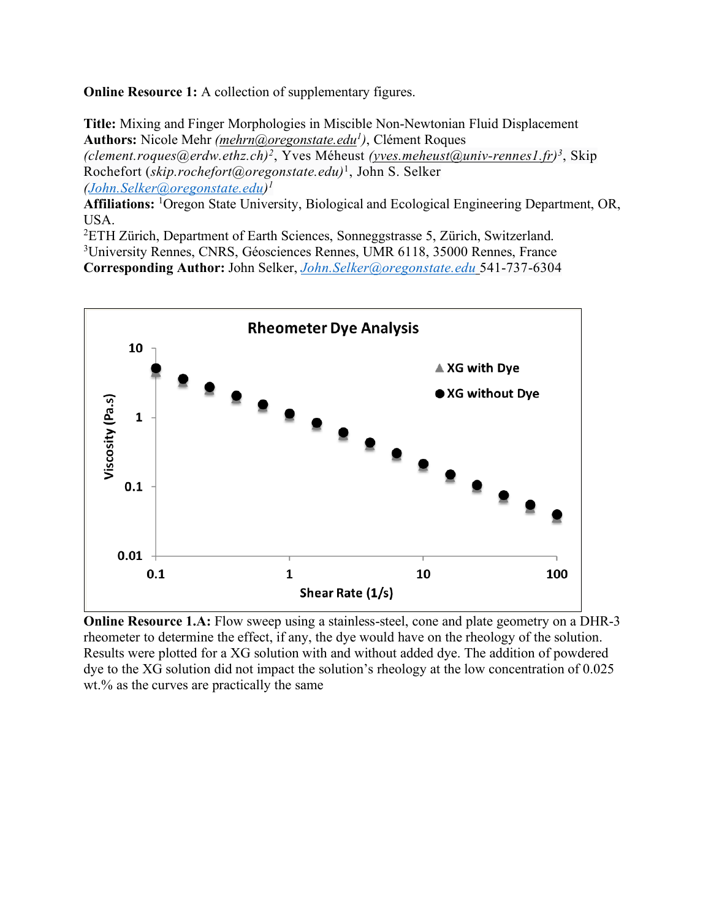**Online Resource 1:** A collection of supplementary figures.

**Title:** Mixing and Finger Morphologies in Miscible Non-Newtonian Fluid Displacement **Authors:** Nicole Mehr *(mehrn@oregonstate.edu1 )*, Clément Roques *(clement.roques@erdw.ethz.ch)2*, Yves Méheust *(yves.meheust@univ-rennes1.fr)3*, Skip Rochefort (*skip.rochefort@oregonstate.edu)*1, John S. Selker *(John.Selker@oregonstate.edu)1*

**Affiliations:** <sup>1</sup> Oregon State University, Biological and Ecological Engineering Department, OR, USA.

2 ETH Zürich, Department of Earth Sciences, Sonneggstrasse 5, Zürich, Switzerland. 3 University Rennes, CNRS, Géosciences Rennes, UMR 6118, 35000 Rennes, France **Corresponding Author:** John Selker, *John.Selker@oregonstate.edu* 541-737-6304



**Online Resource 1.A:** Flow sweep using a stainless-steel, cone and plate geometry on a DHR-3 rheometer to determine the effect, if any, the dye would have on the rheology of the solution. Results were plotted for a XG solution with and without added dye. The addition of powdered dye to the XG solution did not impact the solution's rheology at the low concentration of 0.025 wt.% as the curves are practically the same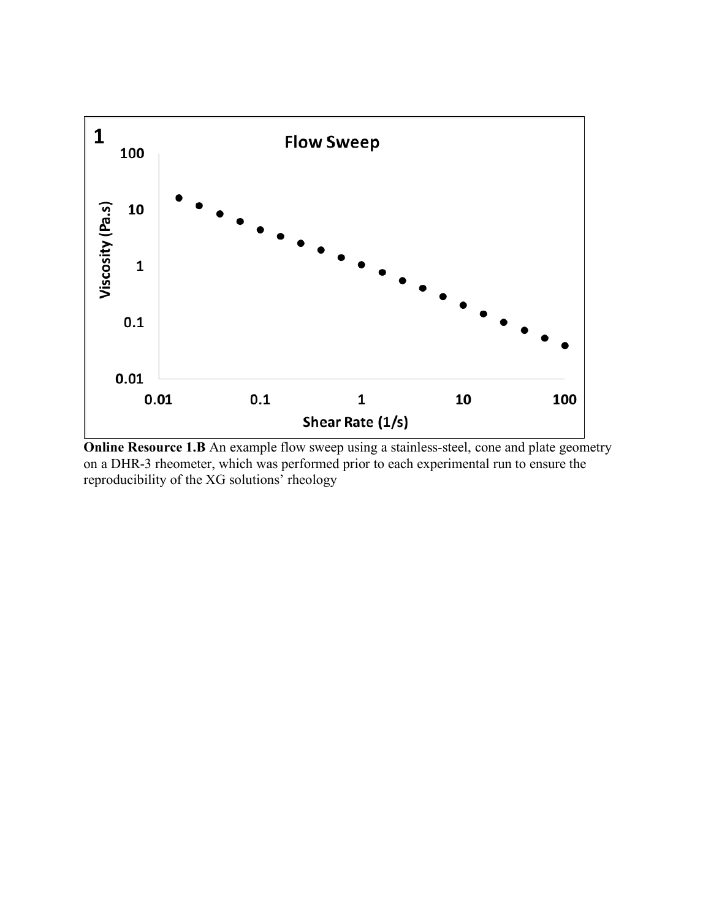

**Online Resource 1.B** An example flow sweep using a stainless-steel, cone and plate geometry on a DHR-3 rheometer, which was performed prior to each experimental run to ensure the reproducibility of the XG solutions' rheology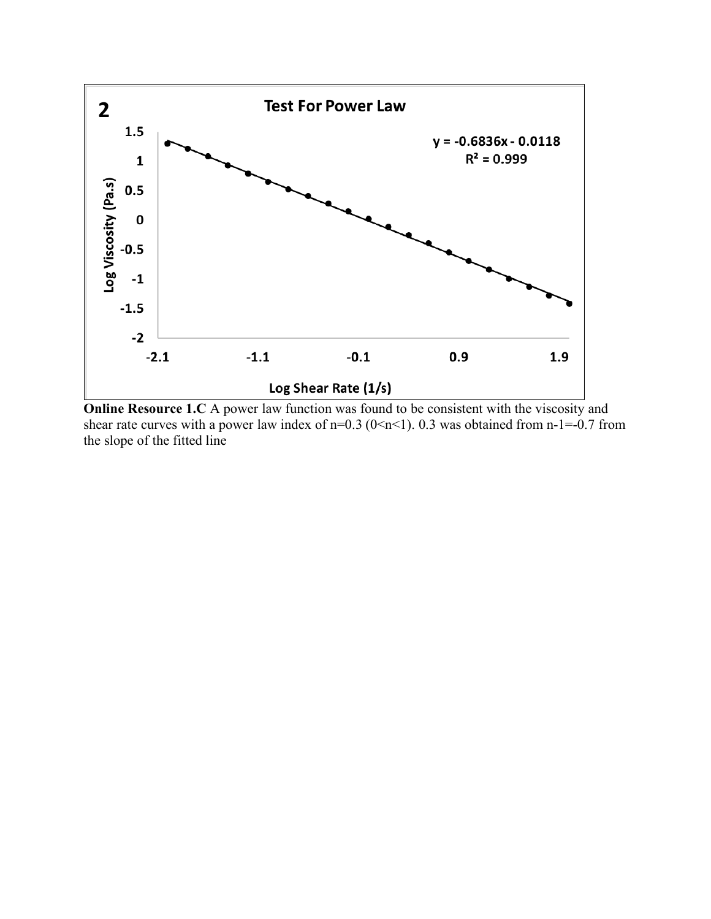

**Online Resource 1.C** A power law function was found to be consistent with the viscosity and shear rate curves with a power law index of  $n=0.3$  ( $0\le n\le 1$ ). 0.3 was obtained from  $n-1=-0.7$  from the slope of the fitted line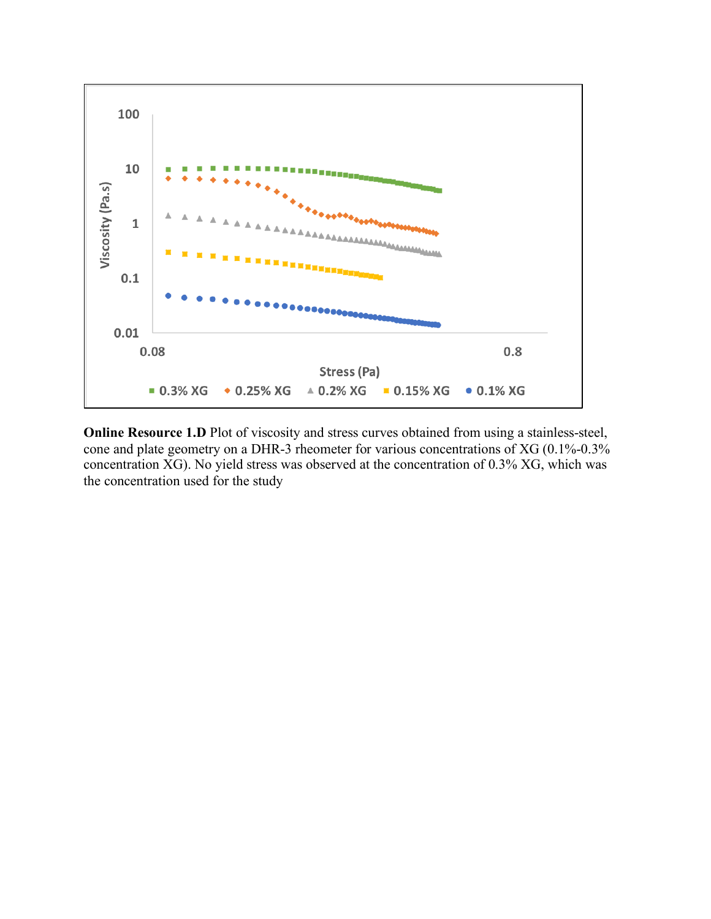

**Online Resource 1.D** Plot of viscosity and stress curves obtained from using a stainless-steel, cone and plate geometry on a DHR-3 rheometer for various concentrations of XG (0.1%-0.3% concentration XG). No yield stress was observed at the concentration of 0.3% XG, which was the concentration used for the study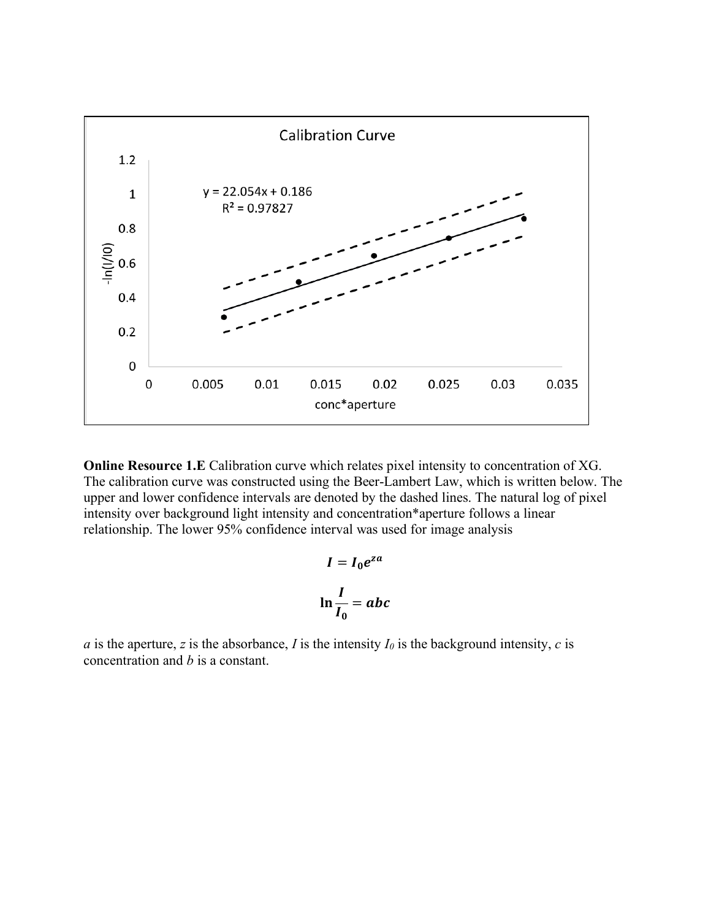

**Online Resource 1.E** Calibration curve which relates pixel intensity to concentration of XG. The calibration curve was constructed using the Beer-Lambert Law, which is written below. The upper and lower confidence intervals are denoted by the dashed lines. The natural log of pixel intensity over background light intensity and concentration\*aperture follows a linear relationship. The lower 95% confidence interval was used for image analysis

$$
I = I_0 e^{za}
$$

$$
\ln \frac{I}{I_0} = abc
$$

*a* is the aperture, *z* is the absorbance, *I* is the intensity  $I_0$  is the background intensity, *c* is concentration and *b* is a constant.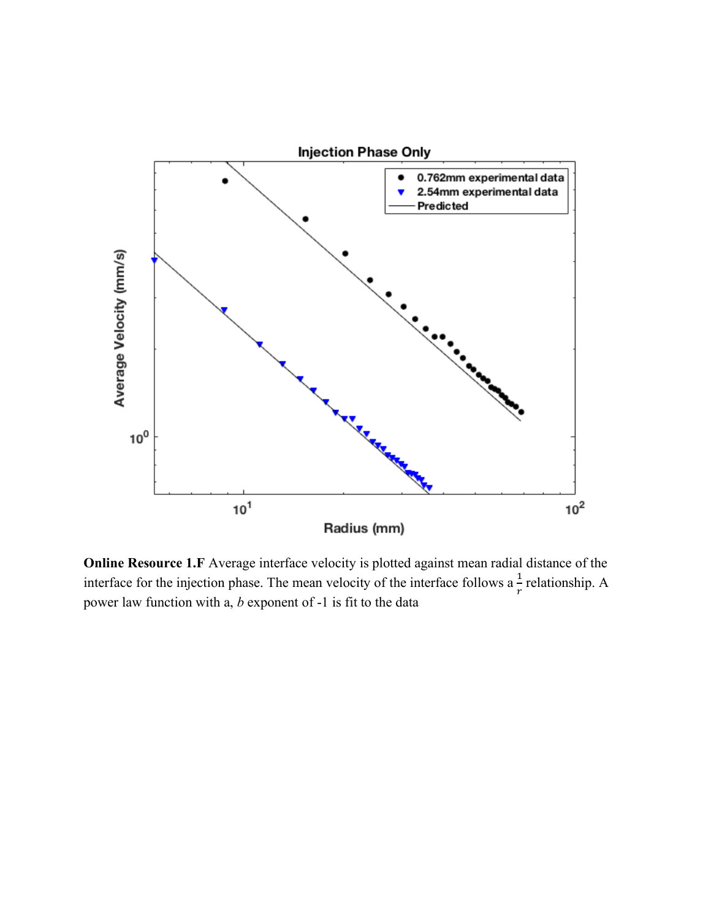

**Online Resource 1.F** Average interface velocity is plotted against mean radial distance of the interface for the injection phase. The mean velocity of the interface follows a  $\frac{1}{r}$  relationship. A power law function with a, *b* exponent of -1 is fit to the data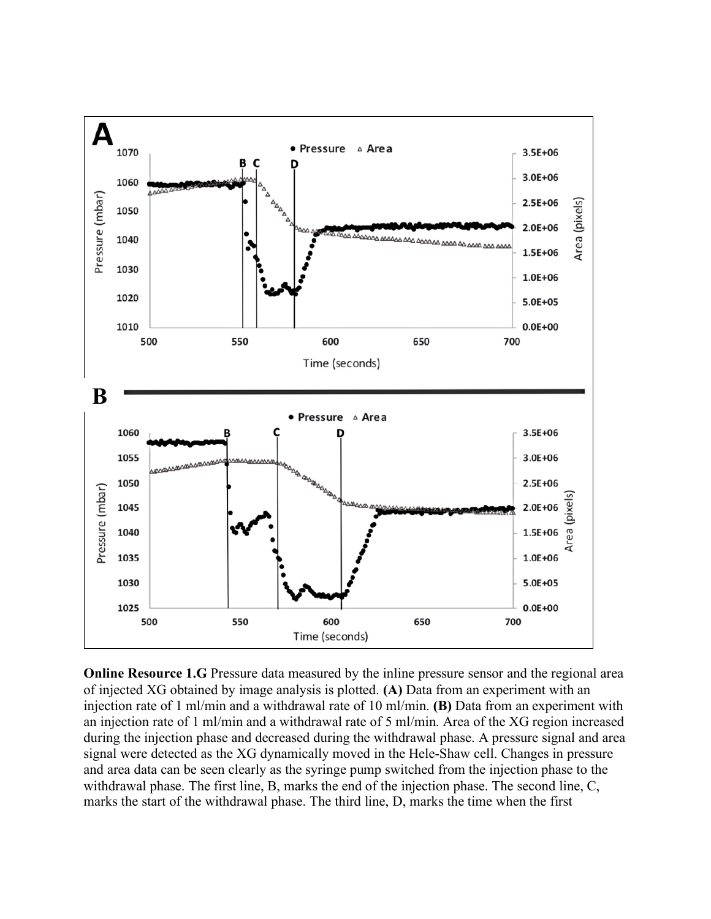

**Online Resource 1.G** Pressure data measured by the inline pressure sensor and the regional area of injected XG obtained by image analysis is plotted. **(A)** Data from an experiment with an injection rate of 1 ml/min and a withdrawal rate of 10 ml/min. **(B)** Data from an experiment with an injection rate of 1 ml/min and a withdrawal rate of 5 ml/min. Area of the XG region increased during the injection phase and decreased during the withdrawal phase. A pressure signal and area signal were detected as the XG dynamically moved in the Hele-Shaw cell. Changes in pressure and area data can be seen clearly as the syringe pump switched from the injection phase to the withdrawal phase. The first line, B, marks the end of the injection phase. The second line, C, marks the start of the withdrawal phase. The third line, D, marks the time when the first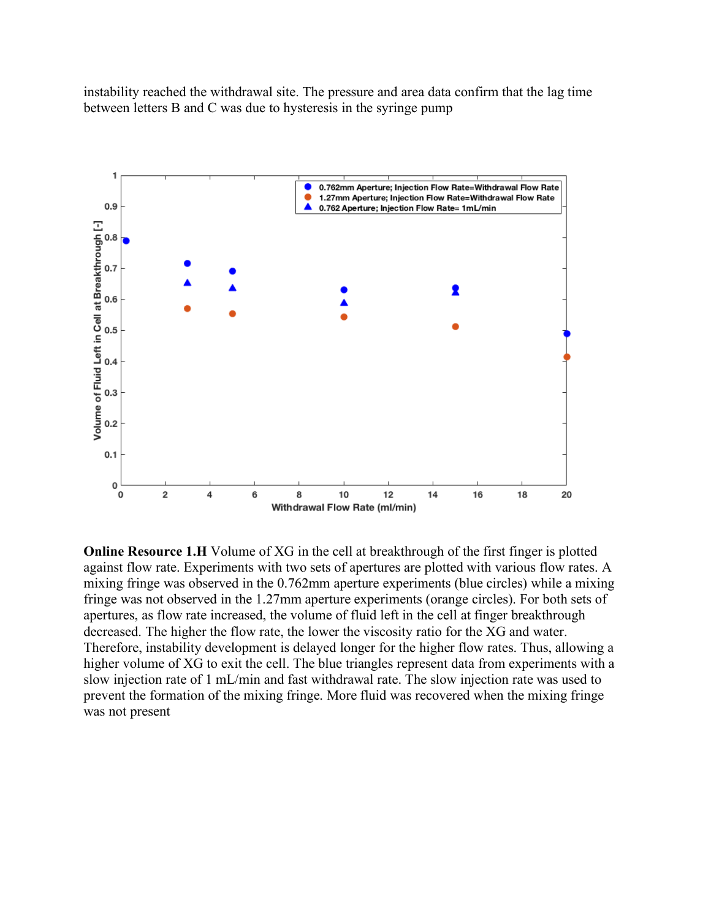instability reached the withdrawal site. The pressure and area data confirm that the lag time between letters B and C was due to hysteresis in the syringe pump



**Online Resource 1.H** Volume of XG in the cell at breakthrough of the first finger is plotted against flow rate. Experiments with two sets of apertures are plotted with various flow rates. A mixing fringe was observed in the 0.762mm aperture experiments (blue circles) while a mixing fringe was not observed in the 1.27mm aperture experiments (orange circles). For both sets of apertures, as flow rate increased, the volume of fluid left in the cell at finger breakthrough decreased. The higher the flow rate, the lower the viscosity ratio for the XG and water. Therefore, instability development is delayed longer for the higher flow rates. Thus, allowing a higher volume of XG to exit the cell. The blue triangles represent data from experiments with a slow injection rate of 1 mL/min and fast withdrawal rate. The slow injection rate was used to prevent the formation of the mixing fringe. More fluid was recovered when the mixing fringe was not present